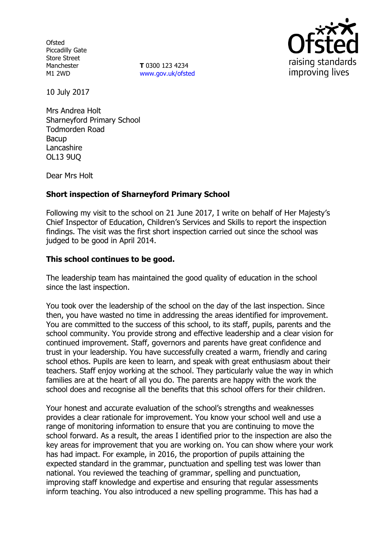**Ofsted** Piccadilly Gate Store Street Manchester M1 2WD

**T** 0300 123 4234 [www.gov.uk/ofsted](http://www.gov.uk/ofsted)



10 July 2017

Mrs Andrea Holt Sharneyford Primary School Todmorden Road **Bacup** Lancashire OL13 9UQ

Dear Mrs Holt

# **Short inspection of Sharneyford Primary School**

Following my visit to the school on 21 June 2017, I write on behalf of Her Majesty's Chief Inspector of Education, Children's Services and Skills to report the inspection findings. The visit was the first short inspection carried out since the school was judged to be good in April 2014.

# **This school continues to be good.**

The leadership team has maintained the good quality of education in the school since the last inspection.

You took over the leadership of the school on the day of the last inspection. Since then, you have wasted no time in addressing the areas identified for improvement. You are committed to the success of this school, to its staff, pupils, parents and the school community. You provide strong and effective leadership and a clear vision for continued improvement. Staff, governors and parents have great confidence and trust in your leadership. You have successfully created a warm, friendly and caring school ethos. Pupils are keen to learn, and speak with great enthusiasm about their teachers. Staff enjoy working at the school. They particularly value the way in which families are at the heart of all you do. The parents are happy with the work the school does and recognise all the benefits that this school offers for their children.

Your honest and accurate evaluation of the school's strengths and weaknesses provides a clear rationale for improvement. You know your school well and use a range of monitoring information to ensure that you are continuing to move the school forward. As a result, the areas I identified prior to the inspection are also the key areas for improvement that you are working on. You can show where your work has had impact. For example, in 2016, the proportion of pupils attaining the expected standard in the grammar, punctuation and spelling test was lower than national. You reviewed the teaching of grammar, spelling and punctuation, improving staff knowledge and expertise and ensuring that regular assessments inform teaching. You also introduced a new spelling programme. This has had a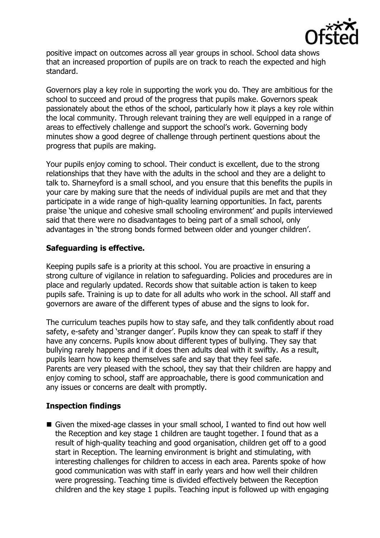

positive impact on outcomes across all year groups in school. School data shows that an increased proportion of pupils are on track to reach the expected and high standard.

Governors play a key role in supporting the work you do. They are ambitious for the school to succeed and proud of the progress that pupils make. Governors speak passionately about the ethos of the school, particularly how it plays a key role within the local community. Through relevant training they are well equipped in a range of areas to effectively challenge and support the school's work. Governing body minutes show a good degree of challenge through pertinent questions about the progress that pupils are making.

Your pupils enjoy coming to school. Their conduct is excellent, due to the strong relationships that they have with the adults in the school and they are a delight to talk to. Sharneyford is a small school, and you ensure that this benefits the pupils in your care by making sure that the needs of individual pupils are met and that they participate in a wide range of high-quality learning opportunities. In fact, parents praise 'the unique and cohesive small schooling environment' and pupils interviewed said that there were no disadvantages to being part of a small school, only advantages in 'the strong bonds formed between older and younger children'.

# **Safeguarding is effective.**

Keeping pupils safe is a priority at this school. You are proactive in ensuring a strong culture of vigilance in relation to safeguarding. Policies and procedures are in place and regularly updated. Records show that suitable action is taken to keep pupils safe. Training is up to date for all adults who work in the school. All staff and governors are aware of the different types of abuse and the signs to look for.

The curriculum teaches pupils how to stay safe, and they talk confidently about road safety, e-safety and 'stranger danger'. Pupils know they can speak to staff if they have any concerns. Pupils know about different types of bullying. They say that bullying rarely happens and if it does then adults deal with it swiftly. As a result, pupils learn how to keep themselves safe and say that they feel safe. Parents are very pleased with the school, they say that their children are happy and enjoy coming to school, staff are approachable, there is good communication and any issues or concerns are dealt with promptly.

## **Inspection findings**

 Given the mixed-age classes in your small school, I wanted to find out how well the Reception and key stage 1 children are taught together. I found that as a result of high-quality teaching and good organisation, children get off to a good start in Reception. The learning environment is bright and stimulating, with interesting challenges for children to access in each area. Parents spoke of how good communication was with staff in early years and how well their children were progressing. Teaching time is divided effectively between the Reception children and the key stage 1 pupils. Teaching input is followed up with engaging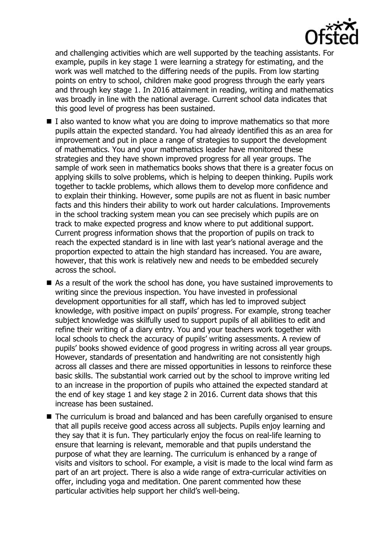

and challenging activities which are well supported by the teaching assistants. For example, pupils in key stage 1 were learning a strategy for estimating, and the work was well matched to the differing needs of the pupils. From low starting points on entry to school, children make good progress through the early years and through key stage 1. In 2016 attainment in reading, writing and mathematics was broadly in line with the national average. Current school data indicates that this good level of progress has been sustained.

- $\blacksquare$  I also wanted to know what you are doing to improve mathematics so that more pupils attain the expected standard. You had already identified this as an area for improvement and put in place a range of strategies to support the development of mathematics. You and your mathematics leader have monitored these strategies and they have shown improved progress for all year groups. The sample of work seen in mathematics books shows that there is a greater focus on applying skills to solve problems, which is helping to deepen thinking. Pupils work together to tackle problems, which allows them to develop more confidence and to explain their thinking. However, some pupils are not as fluent in basic number facts and this hinders their ability to work out harder calculations. Improvements in the school tracking system mean you can see precisely which pupils are on track to make expected progress and know where to put additional support. Current progress information shows that the proportion of pupils on track to reach the expected standard is in line with last year's national average and the proportion expected to attain the high standard has increased. You are aware, however, that this work is relatively new and needs to be embedded securely across the school.
- As a result of the work the school has done, you have sustained improvements to writing since the previous inspection. You have invested in professional development opportunities for all staff, which has led to improved subject knowledge, with positive impact on pupils' progress. For example, strong teacher subject knowledge was skilfully used to support pupils of all abilities to edit and refine their writing of a diary entry. You and your teachers work together with local schools to check the accuracy of pupils' writing assessments. A review of pupils' books showed evidence of good progress in writing across all year groups. However, standards of presentation and handwriting are not consistently high across all classes and there are missed opportunities in lessons to reinforce these basic skills. The substantial work carried out by the school to improve writing led to an increase in the proportion of pupils who attained the expected standard at the end of key stage 1 and key stage 2 in 2016. Current data shows that this increase has been sustained.
- The curriculum is broad and balanced and has been carefully organised to ensure that all pupils receive good access across all subjects. Pupils enjoy learning and they say that it is fun. They particularly enjoy the focus on real-life learning to ensure that learning is relevant, memorable and that pupils understand the purpose of what they are learning. The curriculum is enhanced by a range of visits and visitors to school. For example, a visit is made to the local wind farm as part of an art project. There is also a wide range of extra-curricular activities on offer, including yoga and meditation. One parent commented how these particular activities help support her child's well-being.